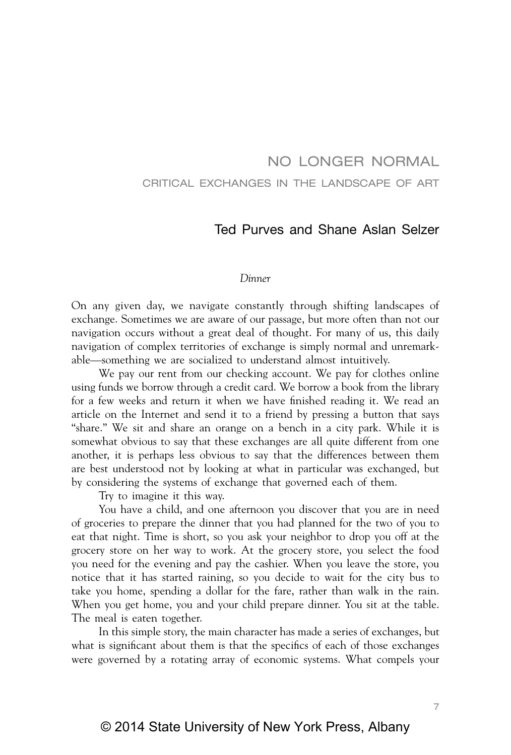# NO LONGER NORMAL CRITICAL EXCHANGES IN THE LANDSCAPE OF ART

# Ted Purves and Shane Aslan Selzer

#### *Dinner*

On any given day, we navigate constantly through shifting landscapes of exchange. Sometimes we are aware of our passage, but more often than not our navigation occurs without a great deal of thought. For many of us, this daily navigation of complex territories of exchange is simply normal and unremarkable—something we are socialized to understand almost intuitively.

We pay our rent from our checking account. We pay for clothes online using funds we borrow through a credit card. We borrow a book from the library for a few weeks and return it when we have finished reading it. We read an article on the Internet and send it to a friend by pressing a button that says "share." We sit and share an orange on a bench in a city park. While it is somewhat obvious to say that these exchanges are all quite different from one another, it is perhaps less obvious to say that the differences between them are best understood not by looking at what in particular was exchanged, but by considering the systems of exchange that governed each of them.

Try to imagine it this way.

You have a child, and one afternoon you discover that you are in need of groceries to prepare the dinner that you had planned for the two of you to eat that night. Time is short, so you ask your neighbor to drop you off at the grocery store on her way to work. At the grocery store, you select the food you need for the evening and pay the cashier. When you leave the store, you notice that it has started raining, so you decide to wait for the city bus to take you home, spending a dollar for the fare, rather than walk in the rain. When you get home, you and your child prepare dinner. You sit at the table. The meal is eaten together.

In this simple story, the main character has made a series of exchanges, but what is significant about them is that the specifics of each of those exchanges were governed by a rotating array of economic systems. What compels your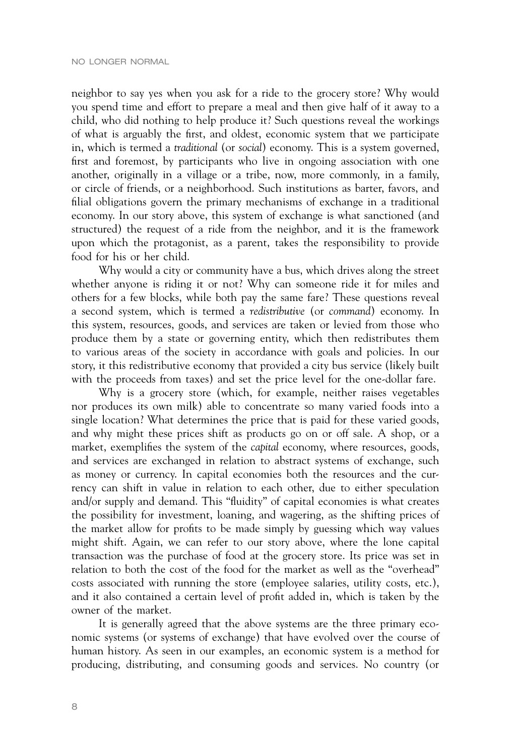neighbor to say yes when you ask for a ride to the grocery store? Why would you spend time and effort to prepare a meal and then give half of it away to a child, who did nothing to help produce it? Such questions reveal the workings of what is arguably the first, and oldest, economic system that we participate in, which is termed a *traditional* (or *social*) economy. This is a system governed, first and foremost, by participants who live in ongoing association with one another, originally in a village or a tribe, now, more commonly, in a family, or circle of friends, or a neighborhood. Such institutions as barter, favors, and filial obligations govern the primary mechanisms of exchange in a traditional economy. In our story above, this system of exchange is what sanctioned (and structured) the request of a ride from the neighbor, and it is the framework upon which the protagonist, as a parent, takes the responsibility to provide food for his or her child.

Why would a city or community have a bus, which drives along the street whether anyone is riding it or not? Why can someone ride it for miles and others for a few blocks, while both pay the same fare? These questions reveal a second system, which is termed a *redistributive* (or *command*) economy. In this system, resources, goods, and services are taken or levied from those who produce them by a state or governing entity, which then redistributes them to various areas of the society in accordance with goals and policies. In our story, it this redistributive economy that provided a city bus service (likely built with the proceeds from taxes) and set the price level for the one-dollar fare.

Why is a grocery store (which, for example, neither raises vegetables nor produces its own milk) able to concentrate so many varied foods into a single location? What determines the price that is paid for these varied goods, and why might these prices shift as products go on or off sale. A shop, or a market, exemplifies the system of the *capital* economy, where resources, goods, and services are exchanged in relation to abstract systems of exchange, such as money or currency. In capital economies both the resources and the currency can shift in value in relation to each other, due to either speculation and/or supply and demand. This "fluidity" of capital economies is what creates the possibility for investment, loaning, and wagering, as the shifting prices of the market allow for profits to be made simply by guessing which way values might shift. Again, we can refer to our story above, where the lone capital transaction was the purchase of food at the grocery store. Its price was set in relation to both the cost of the food for the market as well as the "overhead" costs associated with running the store (employee salaries, utility costs, etc.), and it also contained a certain level of profit added in, which is taken by the owner of the market.

It is generally agreed that the above systems are the three primary economic systems (or systems of exchange) that have evolved over the course of human history. As seen in our examples, an economic system is a method for producing, distributing, and consuming goods and services. No country (or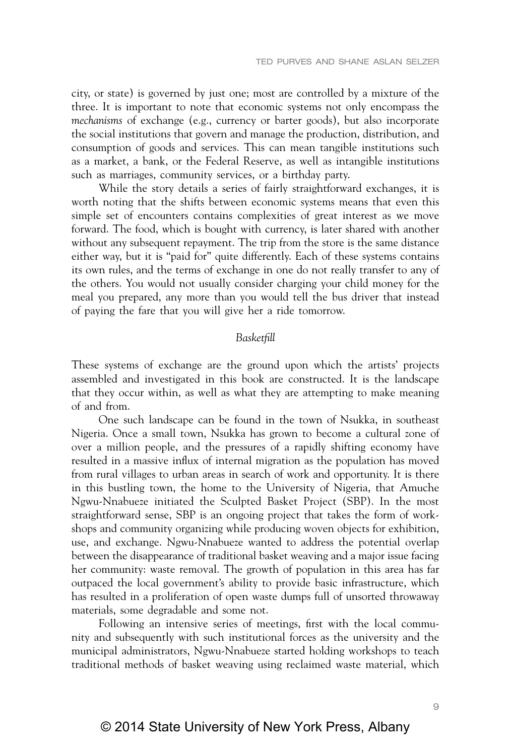city, or state) is governed by just one; most are controlled by a mixture of the three. It is important to note that economic systems not only encompass the *mechanisms* of exchange (e.g., currency or barter goods), but also incorporate the social institutions that govern and manage the production, distribution, and consumption of goods and services. This can mean tangible institutions such as a market, a bank, or the Federal Reserve, as well as intangible institutions such as marriages, community services, or a birthday party.

While the story details a series of fairly straightforward exchanges, it is worth noting that the shifts between economic systems means that even this simple set of encounters contains complexities of great interest as we move forward. The food, which is bought with currency, is later shared with another without any subsequent repayment. The trip from the store is the same distance either way, but it is "paid for" quite differently. Each of these systems contains its own rules, and the terms of exchange in one do not really transfer to any of the others. You would not usually consider charging your child money for the meal you prepared, any more than you would tell the bus driver that instead of paying the fare that you will give her a ride tomorrow.

# *Basketfill*

These systems of exchange are the ground upon which the artists' projects assembled and investigated in this book are constructed. It is the landscape that they occur within, as well as what they are attempting to make meaning of and from.

One such landscape can be found in the town of Nsukka, in southeast Nigeria. Once a small town, Nsukka has grown to become a cultural zone of over a million people, and the pressures of a rapidly shifting economy have resulted in a massive influx of internal migration as the population has moved from rural villages to urban areas in search of work and opportunity. It is there in this bustling town, the home to the University of Nigeria, that Amuche Ngwu-Nnabueze initiated the Sculpted Basket Project (SBP). In the most straightforward sense, SBP is an ongoing project that takes the form of workshops and community organizing while producing woven objects for exhibition, use, and exchange. Ngwu-Nnabueze wanted to address the potential overlap between the disappearance of traditional basket weaving and a major issue facing her community: waste removal. The growth of population in this area has far outpaced the local government's ability to provide basic infrastructure, which has resulted in a proliferation of open waste dumps full of unsorted throwaway materials, some degradable and some not.

Following an intensive series of meetings, first with the local community and subsequently with such institutional forces as the university and the municipal administrators, Ngwu-Nnabueze started holding workshops to teach traditional methods of basket weaving using reclaimed waste material, which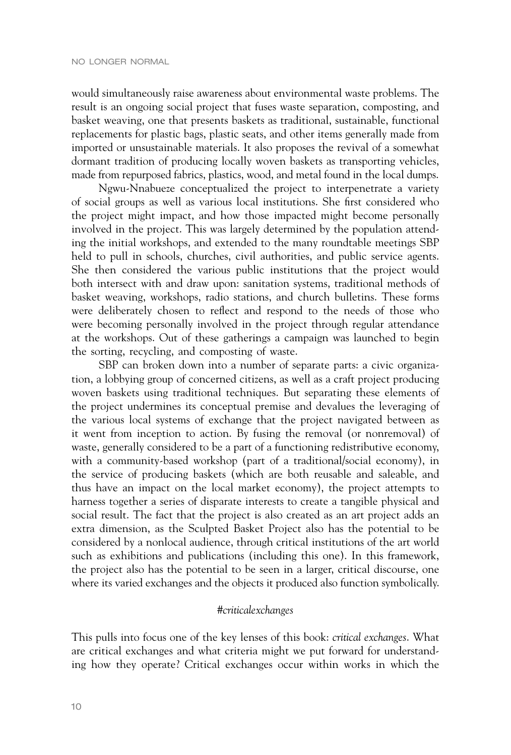would simultaneously raise awareness about environmental waste problems. The result is an ongoing social project that fuses waste separation, composting, and basket weaving, one that presents baskets as traditional, sustainable, functional replacements for plastic bags, plastic seats, and other items generally made from imported or unsustainable materials. It also proposes the revival of a somewhat dormant tradition of producing locally woven baskets as transporting vehicles, made from repurposed fabrics, plastics, wood, and metal found in the local dumps.

Ngwu-Nnabueze conceptualized the project to interpenetrate a variety of social groups as well as various local institutions. She first considered who the project might impact, and how those impacted might become personally involved in the project. This was largely determined by the population attending the initial workshops, and extended to the many roundtable meetings SBP held to pull in schools, churches, civil authorities, and public service agents. She then considered the various public institutions that the project would both intersect with and draw upon: sanitation systems, traditional methods of basket weaving, workshops, radio stations, and church bulletins. These forms were deliberately chosen to reflect and respond to the needs of those who were becoming personally involved in the project through regular attendance at the workshops. Out of these gatherings a campaign was launched to begin the sorting, recycling, and composting of waste.

SBP can broken down into a number of separate parts: a civic organization, a lobbying group of concerned citizens, as well as a craft project producing woven baskets using traditional techniques. But separating these elements of the project undermines its conceptual premise and devalues the leveraging of the various local systems of exchange that the project navigated between as it went from inception to action. By fusing the removal (or nonremoval) of waste, generally considered to be a part of a functioning redistributive economy, with a community-based workshop (part of a traditional/social economy), in the service of producing baskets (which are both reusable and saleable, and thus have an impact on the local market economy), the project attempts to harness together a series of disparate interests to create a tangible physical and social result. The fact that the project is also created as an art project adds an extra dimension, as the Sculpted Basket Project also has the potential to be considered by a nonlocal audience, through critical institutions of the art world such as exhibitions and publications (including this one). In this framework, the project also has the potential to be seen in a larger, critical discourse, one where its varied exchanges and the objects it produced also function symbolically.

# *#criticalexchanges*

This pulls into focus one of the key lenses of this book: *critical exchanges*. What are critical exchanges and what criteria might we put forward for understanding how they operate? Critical exchanges occur within works in which the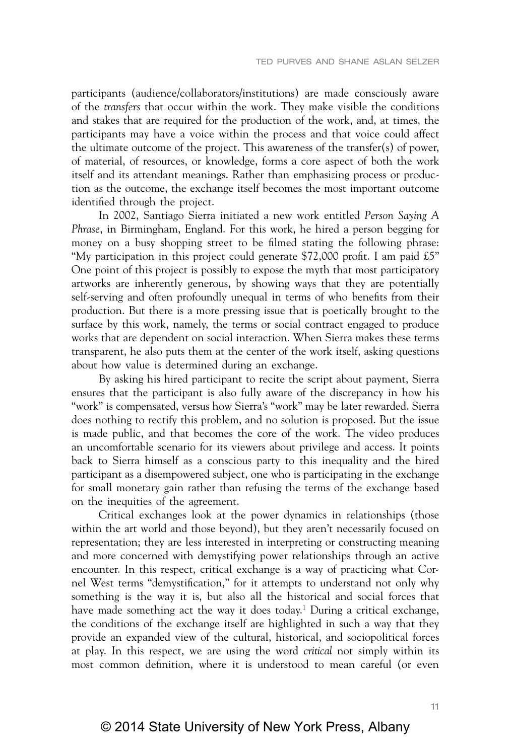participants (audience/collaborators/institutions) are made consciously aware of the *transfers* that occur within the work. They make visible the conditions and stakes that are required for the production of the work, and, at times, the participants may have a voice within the process and that voice could affect the ultimate outcome of the project. This awareness of the transfer(s) of power, of material, of resources, or knowledge, forms a core aspect of both the work itself and its attendant meanings. Rather than emphasizing process or production as the outcome, the exchange itself becomes the most important outcome identified through the project.

In 2002, Santiago Sierra initiated a new work entitled *Person Saying A Phrase*, in Birmingham, England. For this work, he hired a person begging for money on a busy shopping street to be filmed stating the following phrase: "My participation in this project could generate \$72,000 profit. I am paid  $\pounds 5$ " One point of this project is possibly to expose the myth that most participatory artworks are inherently generous, by showing ways that they are potentially self-serving and often profoundly unequal in terms of who benefits from their production. But there is a more pressing issue that is poetically brought to the surface by this work, namely, the terms or social contract engaged to produce works that are dependent on social interaction. When Sierra makes these terms transparent, he also puts them at the center of the work itself, asking questions about how value is determined during an exchange.

By asking his hired participant to recite the script about payment, Sierra ensures that the participant is also fully aware of the discrepancy in how his "work" is compensated, versus how Sierra's "work" may be later rewarded. Sierra does nothing to rectify this problem, and no solution is proposed. But the issue is made public, and that becomes the core of the work. The video produces an uncomfortable scenario for its viewers about privilege and access. It points back to Sierra himself as a conscious party to this inequality and the hired participant as a disempowered subject, one who is participating in the exchange for small monetary gain rather than refusing the terms of the exchange based on the inequities of the agreement.

Critical exchanges look at the power dynamics in relationships (those within the art world and those beyond), but they aren't necessarily focused on representation; they are less interested in interpreting or constructing meaning and more concerned with demystifying power relationships through an active encounter. In this respect, critical exchange is a way of practicing what Cornel West terms "demystification," for it attempts to understand not only why something is the way it is, but also all the historical and social forces that have made something act the way it does today.<sup>1</sup> During a critical exchange, the conditions of the exchange itself are highlighted in such a way that they provide an expanded view of the cultural, historical, and sociopolitical forces at play. In this respect, we are using the word *critical* not simply within its most common definition, where it is understood to mean careful (or even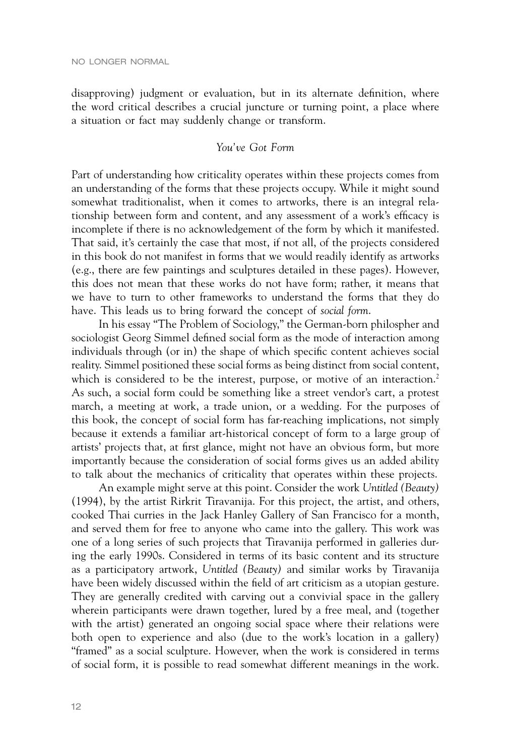disapproving) judgment or evaluation, but in its alternate definition, where the word critical describes a crucial juncture or turning point, a place where a situation or fact may suddenly change or transform.

# *You've Got Form*

Part of understanding how criticality operates within these projects comes from an understanding of the forms that these projects occupy. While it might sound somewhat traditionalist, when it comes to artworks, there is an integral relationship between form and content, and any assessment of a work's efficacy is incomplete if there is no acknowledgement of the form by which it manifested. That said, it's certainly the case that most, if not all, of the projects considered in this book do not manifest in forms that we would readily identify as artworks (e.g., there are few paintings and sculptures detailed in these pages). However, this does not mean that these works do not have form; rather, it means that we have to turn to other frameworks to understand the forms that they do have. This leads us to bring forward the concept of *social form*.

In his essay "The Problem of Sociology," the German-born philospher and sociologist Georg Simmel defined social form as the mode of interaction among individuals through (or in) the shape of which specific content achieves social reality. Simmel positioned these social forms as being distinct from social content, which is considered to be the interest, purpose, or motive of an interaction.<sup>2</sup> As such, a social form could be something like a street vendor's cart, a protest march, a meeting at work, a trade union, or a wedding. For the purposes of this book, the concept of social form has far-reaching implications, not simply because it extends a familiar art-historical concept of form to a large group of artists' projects that, at first glance, might not have an obvious form, but more importantly because the consideration of social forms gives us an added ability to talk about the mechanics of criticality that operates within these projects.

An example might serve at this point. Consider the work *Untitled (Beauty)* (1994), by the artist Rirkrit Tiravanija. For this project, the artist, and others, cooked Thai curries in the Jack Hanley Gallery of San Francisco for a month, and served them for free to anyone who came into the gallery. This work was one of a long series of such projects that Tiravanija performed in galleries during the early 1990s. Considered in terms of its basic content and its structure as a participatory artwork, *Untitled (Beauty)* and similar works by Tiravanija have been widely discussed within the field of art criticism as a utopian gesture. They are generally credited with carving out a convivial space in the gallery wherein participants were drawn together, lured by a free meal, and (together with the artist) generated an ongoing social space where their relations were both open to experience and also (due to the work's location in a gallery) "framed" as a social sculpture. However, when the work is considered in terms of social form, it is possible to read somewhat different meanings in the work.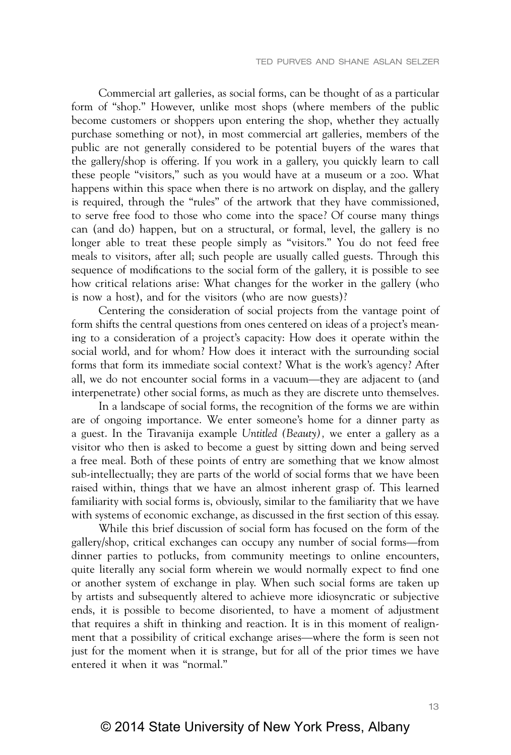Commercial art galleries, as social forms, can be thought of as a particular form of "shop." However, unlike most shops (where members of the public become customers or shoppers upon entering the shop, whether they actually purchase something or not), in most commercial art galleries, members of the public are not generally considered to be potential buyers of the wares that the gallery/shop is offering. If you work in a gallery, you quickly learn to call these people "visitors," such as you would have at a museum or a zoo. What happens within this space when there is no artwork on display, and the gallery is required, through the "rules" of the artwork that they have commissioned, to serve free food to those who come into the space? Of course many things can (and do) happen, but on a structural, or formal, level, the gallery is no longer able to treat these people simply as "visitors." You do not feed free meals to visitors, after all; such people are usually called guests. Through this sequence of modifications to the social form of the gallery, it is possible to see how critical relations arise: What changes for the worker in the gallery (who is now a host), and for the visitors (who are now guests)?

Centering the consideration of social projects from the vantage point of form shifts the central questions from ones centered on ideas of a project's meaning to a consideration of a project's capacity: How does it operate within the social world, and for whom? How does it interact with the surrounding social forms that form its immediate social context? What is the work's agency? After all, we do not encounter social forms in a vacuum—they are adjacent to (and interpenetrate) other social forms, as much as they are discrete unto themselves.

In a landscape of social forms, the recognition of the forms we are within are of ongoing importance. We enter someone's home for a dinner party as a guest. In the Tiravanija example *Untitled (Beauty),* we enter a gallery as a visitor who then is asked to become a guest by sitting down and being served a free meal. Both of these points of entry are something that we know almost sub-intellectually; they are parts of the world of social forms that we have been raised within, things that we have an almost inherent grasp of. This learned familiarity with social forms is, obviously, similar to the familiarity that we have with systems of economic exchange, as discussed in the first section of this essay.

While this brief discussion of social form has focused on the form of the gallery/shop, critical exchanges can occupy any number of social forms—from dinner parties to potlucks, from community meetings to online encounters, quite literally any social form wherein we would normally expect to find one or another system of exchange in play. When such social forms are taken up by artists and subsequently altered to achieve more idiosyncratic or subjective ends, it is possible to become disoriented, to have a moment of adjustment that requires a shift in thinking and reaction. It is in this moment of realignment that a possibility of critical exchange arises—where the form is seen not just for the moment when it is strange, but for all of the prior times we have entered it when it was "normal."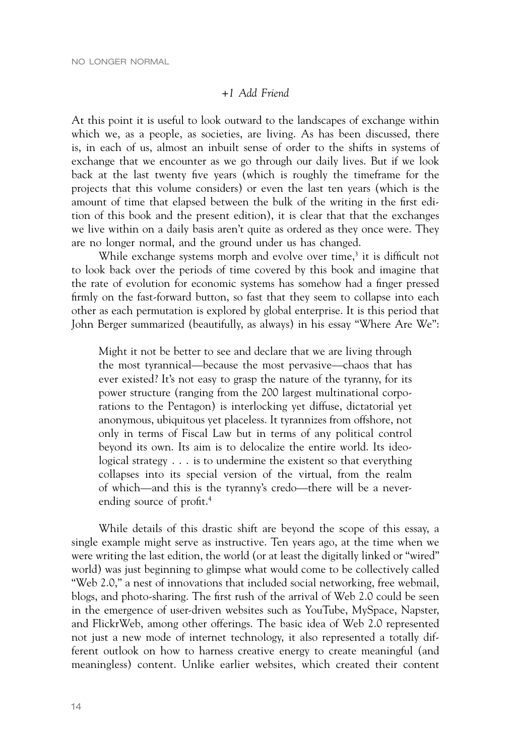## *+1 Add Friend*

At this point it is useful to look outward to the landscapes of exchange within which we, as a people, as societies, are living. As has been discussed, there is, in each of us, almost an inbuilt sense of order to the shifts in systems of exchange that we encounter as we go through our daily lives. But if we look back at the last twenty five years (which is roughly the timeframe for the projects that this volume considers) or even the last ten years (which is the amount of time that elapsed between the bulk of the writing in the first edition of this book and the present edition), it is clear that that the exchanges we live within on a daily basis aren't quite as ordered as they once were. They are no longer normal, and the ground under us has changed.

While exchange systems morph and evolve over time,<sup>3</sup> it is difficult not to look back over the periods of time covered by this book and imagine that the rate of evolution for economic systems has somehow had a finger pressed firmly on the fast-forward button, so fast that they seem to collapse into each other as each permutation is explored by global enterprise. It is this period that John Berger summarized (beautifully, as always) in his essay "Where Are We":

Might it not be better to see and declare that we are living through the most tyrannical—because the most pervasive—chaos that has ever existed? It's not easy to grasp the nature of the tyranny, for its power structure (ranging from the 200 largest multinational corporations to the Pentagon) is interlocking yet diffuse, dictatorial yet anonymous, ubiquitous yet placeless. It tyrannizes from offshore, not only in terms of Fiscal Law but in terms of any political control beyond its own. Its aim is to delocalize the entire world. Its ideological strategy . . . is to undermine the existent so that everything collapses into its special version of the virtual, from the realm of which—and this is the tyranny's credo—there will be a neverending source of profit.4

While details of this drastic shift are beyond the scope of this essay, a single example might serve as instructive. Ten years ago, at the time when we were writing the last edition, the world (or at least the digitally linked or "wired" world) was just beginning to glimpse what would come to be collectively called "Web 2.0," a nest of innovations that included social networking, free webmail, blogs, and photo-sharing. The first rush of the arrival of Web 2.0 could be seen in the emergence of user-driven websites such as YouTube, MySpace, Napster, and FlickrWeb, among other offerings. The basic idea of Web 2.0 represented not just a new mode of internet technology, it also represented a totally different outlook on how to harness creative energy to create meaningful (and meaningless) content. Unlike earlier websites, which created their content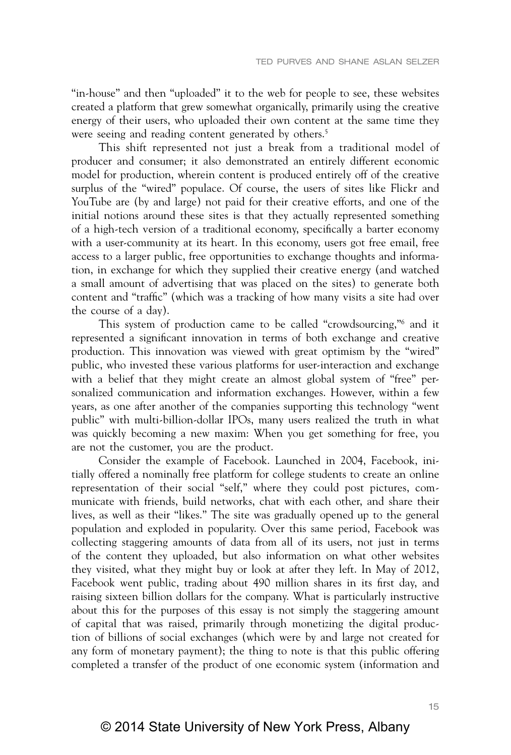"in-house" and then "uploaded" it to the web for people to see, these websites created a platform that grew somewhat organically, primarily using the creative energy of their users, who uploaded their own content at the same time they were seeing and reading content generated by others.<sup>5</sup>

This shift represented not just a break from a traditional model of producer and consumer; it also demonstrated an entirely different economic model for production, wherein content is produced entirely off of the creative surplus of the "wired" populace. Of course, the users of sites like Flickr and YouTube are (by and large) not paid for their creative efforts, and one of the initial notions around these sites is that they actually represented something of a high-tech version of a traditional economy, specifically a barter economy with a user-community at its heart. In this economy, users got free email, free access to a larger public, free opportunities to exchange thoughts and information, in exchange for which they supplied their creative energy (and watched a small amount of advertising that was placed on the sites) to generate both content and "traffic" (which was a tracking of how many visits a site had over the course of a day).

This system of production came to be called "crowdsourcing,"6 and it represented a significant innovation in terms of both exchange and creative production. This innovation was viewed with great optimism by the "wired" public, who invested these various platforms for user-interaction and exchange with a belief that they might create an almost global system of "free" personalized communication and information exchanges. However, within a few years, as one after another of the companies supporting this technology "went public" with multi-billion-dollar IPOs, many users realized the truth in what was quickly becoming a new maxim: When you get something for free, you are not the customer, you are the product.

Consider the example of Facebook. Launched in 2004, Facebook, initially offered a nominally free platform for college students to create an online representation of their social "self," where they could post pictures, communicate with friends, build networks, chat with each other, and share their lives, as well as their "likes." The site was gradually opened up to the general population and exploded in popularity. Over this same period, Facebook was collecting staggering amounts of data from all of its users, not just in terms of the content they uploaded, but also information on what other websites they visited, what they might buy or look at after they left. In May of 2012, Facebook went public, trading about 490 million shares in its first day, and raising sixteen billion dollars for the company. What is particularly instructive about this for the purposes of this essay is not simply the staggering amount of capital that was raised, primarily through monetizing the digital production of billions of social exchanges (which were by and large not created for any form of monetary payment); the thing to note is that this public offering completed a transfer of the product of one economic system (information and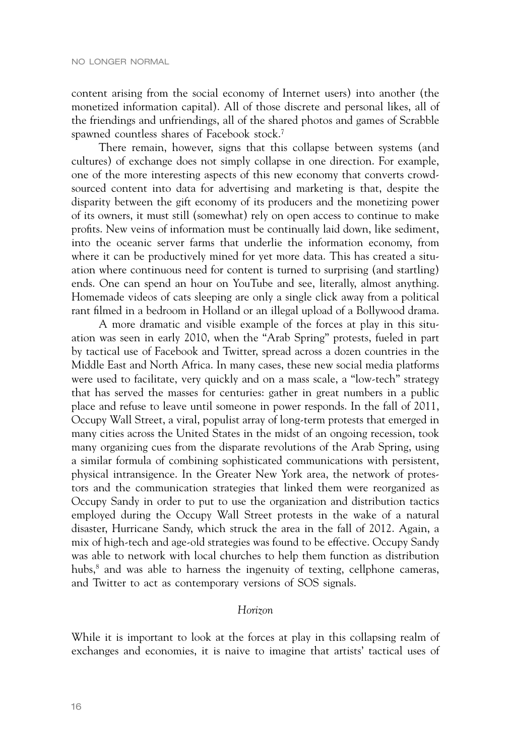content arising from the social economy of Internet users) into another (the monetized information capital). All of those discrete and personal likes, all of the friendings and unfriendings, all of the shared photos and games of Scrabble spawned countless shares of Facebook stock.<sup>7</sup>

There remain, however, signs that this collapse between systems (and cultures) of exchange does not simply collapse in one direction. For example, one of the more interesting aspects of this new economy that converts crowdsourced content into data for advertising and marketing is that, despite the disparity between the gift economy of its producers and the monetizing power of its owners, it must still (somewhat) rely on open access to continue to make profits. New veins of information must be continually laid down, like sediment, into the oceanic server farms that underlie the information economy, from where it can be productively mined for yet more data. This has created a situation where continuous need for content is turned to surprising (and startling) ends. One can spend an hour on YouTube and see, literally, almost anything. Homemade videos of cats sleeping are only a single click away from a political rant filmed in a bedroom in Holland or an illegal upload of a Bollywood drama.

A more dramatic and visible example of the forces at play in this situation was seen in early 2010, when the "Arab Spring" protests, fueled in part by tactical use of Facebook and Twitter, spread across a dozen countries in the Middle East and North Africa. In many cases, these new social media platforms were used to facilitate, very quickly and on a mass scale, a "low-tech" strategy that has served the masses for centuries: gather in great numbers in a public place and refuse to leave until someone in power responds. In the fall of 2011, Occupy Wall Street, a viral, populist array of long-term protests that emerged in many cities across the United States in the midst of an ongoing recession, took many organizing cues from the disparate revolutions of the Arab Spring, using a similar formula of combining sophisticated communications with persistent, physical intransigence. In the Greater New York area, the network of protestors and the communication strategies that linked them were reorganized as Occupy Sandy in order to put to use the organization and distribution tactics employed during the Occupy Wall Street protests in the wake of a natural disaster, Hurricane Sandy, which struck the area in the fall of 2012. Again, a mix of high-tech and age-old strategies was found to be effective. Occupy Sandy was able to network with local churches to help them function as distribution hubs,<sup>8</sup> and was able to harness the ingenuity of texting, cellphone cameras, and Twitter to act as contemporary versions of SOS signals.

## *Horizon*

While it is important to look at the forces at play in this collapsing realm of exchanges and economies, it is naive to imagine that artists' tactical uses of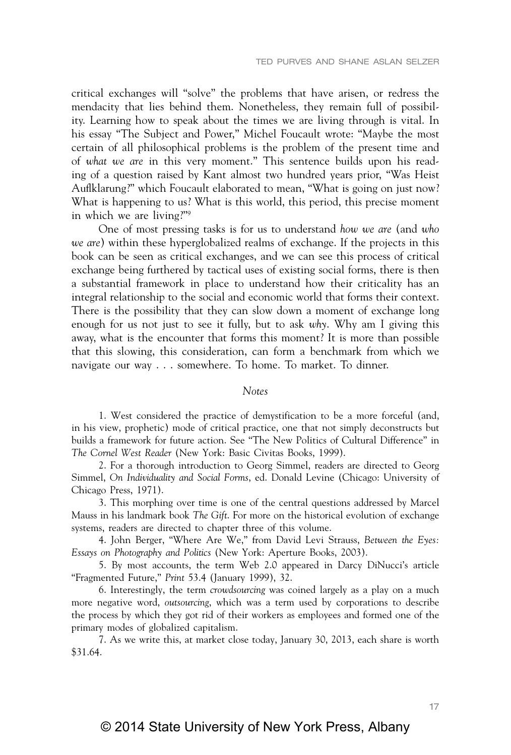critical exchanges will "solve" the problems that have arisen, or redress the mendacity that lies behind them. Nonetheless, they remain full of possibility. Learning how to speak about the times we are living through is vital. In his essay "The Subject and Power," Michel Foucault wrote: "Maybe the most certain of all philosophical problems is the problem of the present time and of *what we are* in this very moment." This sentence builds upon his reading of a question raised by Kant almost two hundred years prior, "Was Heist Auflklarung?" which Foucault elaborated to mean, "What is going on just now? What is happening to us? What is this world, this period, this precise moment in which we are living?"9

One of most pressing tasks is for us to understand *how we are* (and *who we are*) within these hyperglobalized realms of exchange. If the projects in this book can be seen as critical exchanges, and we can see this process of critical exchange being furthered by tactical uses of existing social forms, there is then a substantial framework in place to understand how their criticality has an integral relationship to the social and economic world that forms their context. There is the possibility that they can slow down a moment of exchange long enough for us not just to see it fully, but to ask *why*. Why am I giving this away, what is the encounter that forms this moment? It is more than possible that this slowing, this consideration, can form a benchmark from which we navigate our way . . . somewhere. To home. To market. To dinner.

#### *Notes*

1. West considered the practice of demystification to be a more forceful (and, in his view, prophetic) mode of critical practice, one that not simply deconstructs but builds a framework for future action. See "The New Politics of Cultural Difference" in *The Cornel West Reader* (New York: Basic Civitas Books, 1999).

2. For a thorough introduction to Georg Simmel, readers are directed to Georg Simmel, *On Individuality and Social Forms*, ed. Donald Levine (Chicago: University of Chicago Press, 1971).

3. This morphing over time is one of the central questions addressed by Marcel Mauss in his landmark book *The Gift*. For more on the historical evolution of exchange systems, readers are directed to chapter three of this volume.

4. John Berger, "Where Are We," from David Levi Strauss, *Between the Eyes: Essays on Photography and Politics* (New York: Aperture Books, 2003).

5. By most accounts, the term Web 2.0 appeared in Darcy DiNucci's article "Fragmented Future," *Print* 53.4 (January 1999), 32.

6. Interestingly, the term *crowdsourcing* was coined largely as a play on a much more negative word, *outsourcing*, which was a term used by corporations to describe the process by which they got rid of their workers as employees and formed one of the primary modes of globalized capitalism.

7. As we write this, at market close today, January 30, 2013, each share is worth \$31.64.